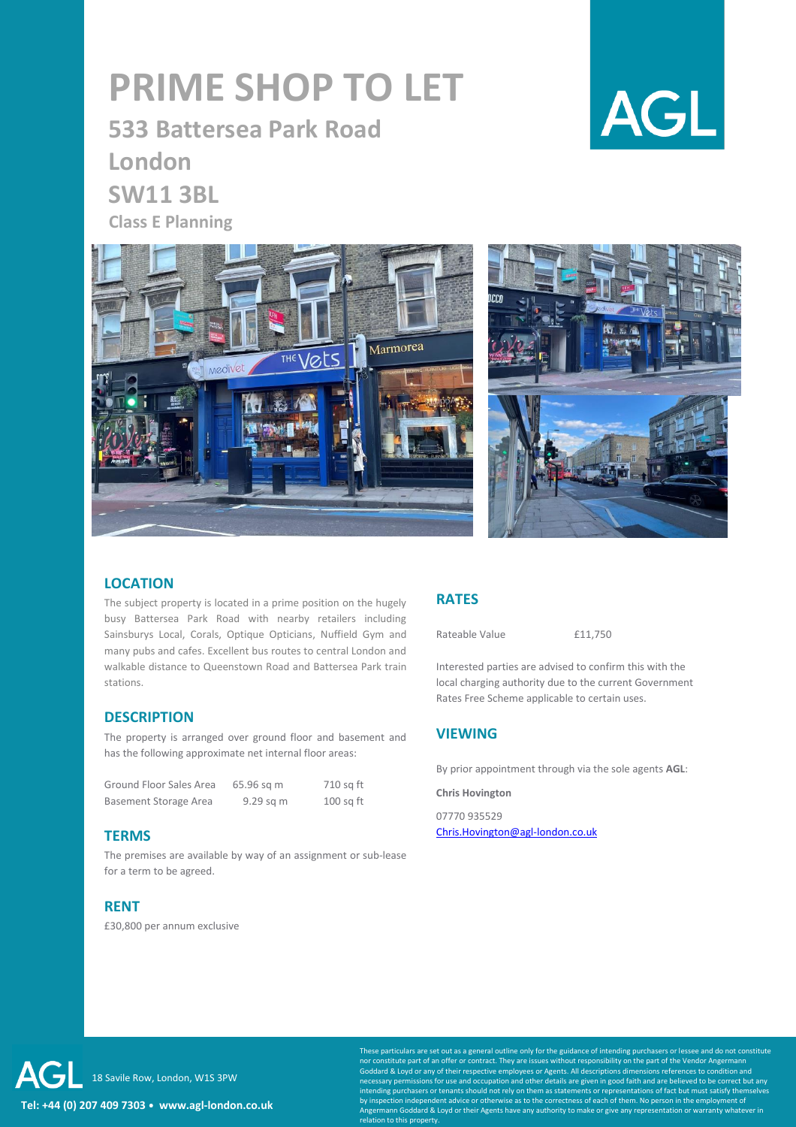# **PRIME SHOP TO LET**

**533 Battersea Park Road London SW11 3BL Class E Planning** 







## **LOCATION**

The subject property is located in a prime position on the hugely busy Battersea Park Road with nearby retailers including Sainsburys Local, Corals, Optique Opticians, Nuffield Gym and many pubs and cafes. Excellent bus routes to central London and walkable distance to Queenstown Road and Battersea Park train stations.

### **DESCRIPTION**

The property is arranged over ground floor and basement and has the following approximate net internal floor areas:

| Ground Floor Sales Area | 65.96 sq m | 710 sg ft   |
|-------------------------|------------|-------------|
| Basement Storage Area   | 9.29 sq m  | $100$ sq ft |

#### **TERMS**

The premises are available by way of an assignment or sub-lease for a term to be agreed.

## **RENT**

£30,800 per annum exclusive

## **RATES**

Rateable Value **£11,750** 

Interested parties are advised to confirm this with the local charging authority due to the current Government Rates Free Scheme applicable to certain uses.

## **VIEWING**

By prior appointment through via the sole agents **AGL**:

**Chris Hovington**

07770 935529 [Chris.Hovington@agl-london.co.uk](mailto:Chris.Hovington@agl-london.co.uk)

**Tel: +44 (0) 207 409 7303** ⦁ **www.agl-london.co.uk** AG 18 Savile Row, London, W1S 3PW

Inticulars are set out as a general outline only for the guidance of intending purchasers or lessee and do not constitute nstitute part of an offer or contract. They are issues without responsibility on the part of the Vendor Angermanr d & Loyd or any of their respective employees or Agents. All descriptions dimensions references to condition and necessary permissions for use and occupation and other details are given in good faith and are believed to be correct but any<br>intending purchasers or tenants should not rely on them as statements or representations of fact lent advice or otherwise as to the correctness of each of them. No person in the employment of mann Goddard & Loyd or their Agents have any authority to make or give any representation or warranty whatever in relation to this property.